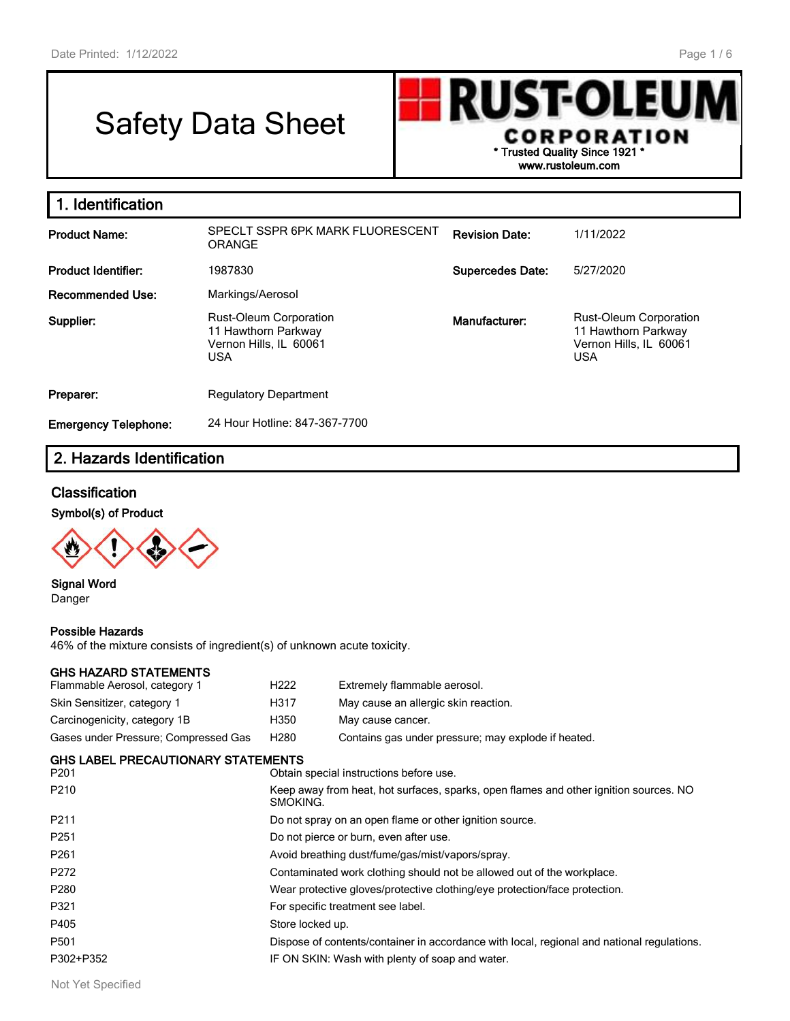# Safety Data Sheet



| 1. Identification           |                                                                                       |                         |                                                                                              |
|-----------------------------|---------------------------------------------------------------------------------------|-------------------------|----------------------------------------------------------------------------------------------|
| <b>Product Name:</b>        | SPECLT SSPR 6PK MARK FLUORESCENT<br>ORANGE                                            | <b>Revision Date:</b>   | 1/11/2022                                                                                    |
| <b>Product Identifier:</b>  | 1987830                                                                               | <b>Supercedes Date:</b> | 5/27/2020                                                                                    |
| <b>Recommended Use:</b>     | Markings/Aerosol                                                                      |                         |                                                                                              |
| Supplier:                   | Rust-Oleum Corporation<br>11 Hawthorn Parkway<br>Vernon Hills, IL 60061<br><b>USA</b> | Manufacturer:           | <b>Rust-Oleum Corporation</b><br>11 Hawthorn Parkway<br>Vernon Hills, IL 60061<br><b>USA</b> |
| Preparer:                   | <b>Regulatory Department</b>                                                          |                         |                                                                                              |
| <b>Emergency Telephone:</b> | 24 Hour Hotline: 847-367-7700                                                         |                         |                                                                                              |

# **2. Hazards Identification**

# **Classification**

**Symbol(s) of Product**



**Signal Word** Danger

#### **Possible Hazards**

46% of the mixture consists of ingredient(s) of unknown acute toxicity.

#### **GHS HAZARD STATEMENTS**

| Flammable Aerosol, category 1        | H <sub>222</sub> | Extremely flammable aerosol.                        |
|--------------------------------------|------------------|-----------------------------------------------------|
| Skin Sensitizer, category 1          | H317             | May cause an allergic skin reaction.                |
| Carcinogenicity, category 1B         | H350             | May cause cancer.                                   |
| Gases under Pressure: Compressed Gas | H <sub>280</sub> | Contains gas under pressure; may explode if heated. |

#### **GHS LABEL PRECAUTIONARY STATEMENTS**

| P <sub>201</sub> | Obtain special instructions before use.                                                           |
|------------------|---------------------------------------------------------------------------------------------------|
| P <sub>210</sub> | Keep away from heat, hot surfaces, sparks, open flames and other ignition sources. NO<br>SMOKING. |
| P <sub>211</sub> | Do not spray on an open flame or other ignition source.                                           |
| P <sub>251</sub> | Do not pierce or burn, even after use.                                                            |
| P <sub>261</sub> | Avoid breathing dust/fume/gas/mist/vapors/spray.                                                  |
| P272             | Contaminated work clothing should not be allowed out of the workplace.                            |
| P <sub>280</sub> | Wear protective gloves/protective clothing/eye protection/face protection.                        |
| P321             | For specific treatment see label.                                                                 |
| P405             | Store locked up.                                                                                  |
| P <sub>501</sub> | Dispose of contents/container in accordance with local, regional and national regulations.        |
| P302+P352        | IF ON SKIN: Wash with plenty of soap and water.                                                   |
|                  |                                                                                                   |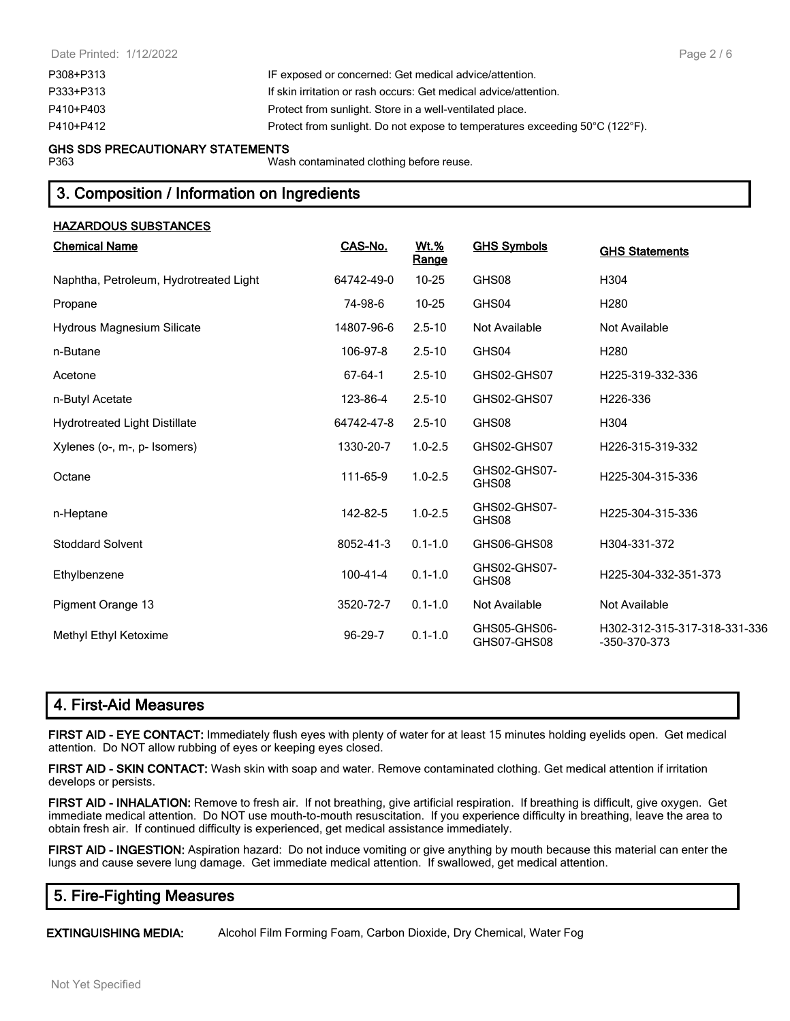| IF exposed or concerned: Get medical advice/attention.                       |
|------------------------------------------------------------------------------|
| If skin irritation or rash occurs: Get medical advice/attention.             |
| Protect from sunlight. Store in a well-ventilated place.                     |
| Protect from sunlight. Do not expose to temperatures exceeding 50°C (122°F). |
|                                                                              |

#### **GHS SDS PRECAUTIONARY STATEMENTS**

P363 Wash contaminated clothing before reuse.

# **3. Composition / Information on Ingredients**

| <u>HAZARDOUS SUBSTANCES</u>            |                |                             |                             |                                              |
|----------------------------------------|----------------|-----------------------------|-----------------------------|----------------------------------------------|
| <b>Chemical Name</b>                   | CAS-No.        | <b>Wt.%</b><br><b>Range</b> | <b>GHS Symbols</b>          | <b>GHS Statements</b>                        |
| Naphtha, Petroleum, Hydrotreated Light | 64742-49-0     | $10 - 25$                   | GHS08                       | H304                                         |
| Propane                                | 74-98-6        | $10 - 25$                   | GHS04                       | H <sub>280</sub>                             |
| Hydrous Magnesium Silicate             | 14807-96-6     | $2.5 - 10$                  | Not Available               | Not Available                                |
| n-Butane                               | 106-97-8       | $2.5 - 10$                  | GHS04                       | H <sub>280</sub>                             |
| Acetone                                | 67-64-1        | $2.5 - 10$                  | GHS02-GHS07                 | H225-319-332-336                             |
| n-Butyl Acetate                        | 123-86-4       | $2.5 - 10$                  | GHS02-GHS07                 | H226-336                                     |
| <b>Hydrotreated Light Distillate</b>   | 64742-47-8     | $2.5 - 10$                  | GHS08                       | H304                                         |
| Xylenes (o-, m-, p- Isomers)           | 1330-20-7      | $1.0 - 2.5$                 | GHS02-GHS07                 | H226-315-319-332                             |
| Octane                                 | 111-65-9       | $1.0 - 2.5$                 | GHS02-GHS07-<br>GHS08       | H225-304-315-336                             |
| n-Heptane                              | 142-82-5       | $1.0 - 2.5$                 | GHS02-GHS07-<br>GHS08       | H225-304-315-336                             |
| <b>Stoddard Solvent</b>                | 8052-41-3      | $0.1 - 1.0$                 | GHS06-GHS08                 | H304-331-372                                 |
| Ethylbenzene                           | $100 - 41 - 4$ | $0.1 - 1.0$                 | GHS02-GHS07-<br>GHS08       | H225-304-332-351-373                         |
| Pigment Orange 13                      | 3520-72-7      | $0.1 - 1.0$                 | Not Available               | Not Available                                |
| Methyl Ethyl Ketoxime                  | $96-29-7$      | $0.1 - 1.0$                 | GHS05-GHS06-<br>GHS07-GHS08 | H302-312-315-317-318-331-336<br>-350-370-373 |

# **4. First-Aid Measures**

**FIRST AID - EYE CONTACT:** Immediately flush eyes with plenty of water for at least 15 minutes holding eyelids open. Get medical attention. Do NOT allow rubbing of eyes or keeping eyes closed.

**FIRST AID - SKIN CONTACT:** Wash skin with soap and water. Remove contaminated clothing. Get medical attention if irritation develops or persists.

**FIRST AID - INHALATION:** Remove to fresh air. If not breathing, give artificial respiration. If breathing is difficult, give oxygen. Get immediate medical attention. Do NOT use mouth-to-mouth resuscitation. If you experience difficulty in breathing, leave the area to obtain fresh air. If continued difficulty is experienced, get medical assistance immediately.

**FIRST AID - INGESTION:** Aspiration hazard: Do not induce vomiting or give anything by mouth because this material can enter the lungs and cause severe lung damage. Get immediate medical attention. If swallowed, get medical attention.

# **5. Fire-Fighting Measures**

**EXTINGUISHING MEDIA:** Alcohol Film Forming Foam, Carbon Dioxide, Dry Chemical, Water Fog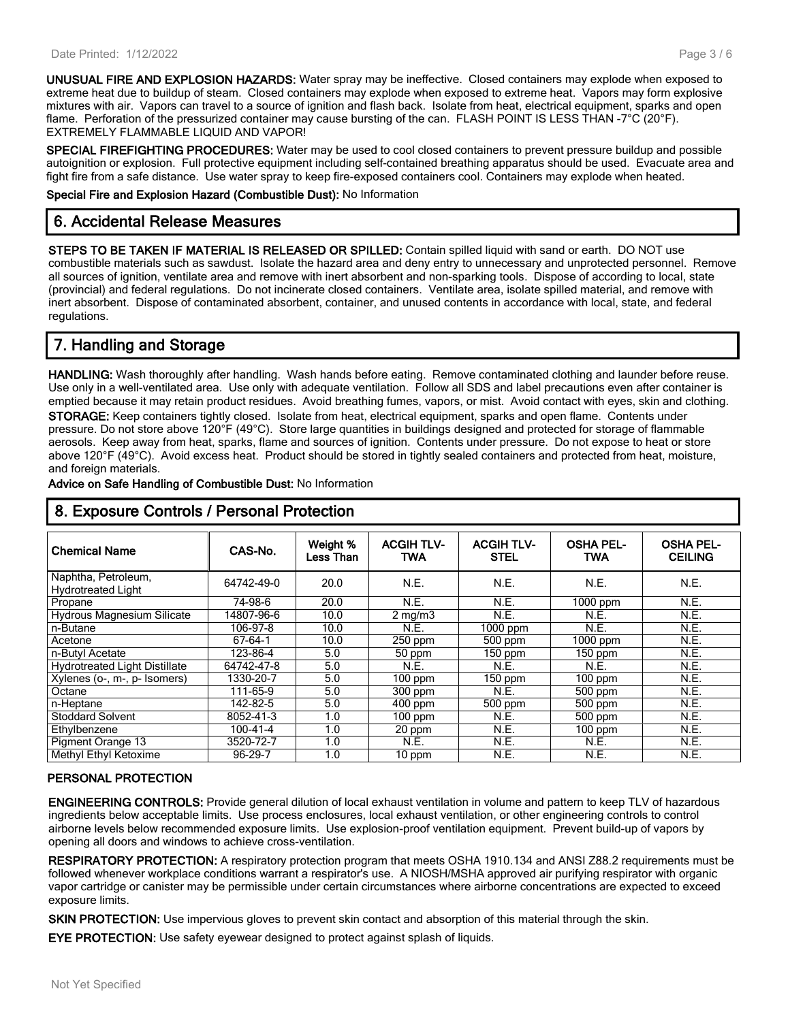**UNUSUAL FIRE AND EXPLOSION HAZARDS:** Water spray may be ineffective. Closed containers may explode when exposed to extreme heat due to buildup of steam. Closed containers may explode when exposed to extreme heat. Vapors may form explosive mixtures with air. Vapors can travel to a source of ignition and flash back. Isolate from heat, electrical equipment, sparks and open flame. Perforation of the pressurized container may cause bursting of the can. FLASH POINT IS LESS THAN -7°C (20°F). EXTREMELY FLAMMABLE LIQUID AND VAPOR!

**SPECIAL FIREFIGHTING PROCEDURES:** Water may be used to cool closed containers to prevent pressure buildup and possible autoignition or explosion. Full protective equipment including self-contained breathing apparatus should be used. Evacuate area and fight fire from a safe distance. Use water spray to keep fire-exposed containers cool. Containers may explode when heated.

**Special Fire and Explosion Hazard (Combustible Dust):** No Information

# **6. Accidental Release Measures**

**STEPS TO BE TAKEN IF MATERIAL IS RELEASED OR SPILLED:** Contain spilled liquid with sand or earth. DO NOT use combustible materials such as sawdust. Isolate the hazard area and deny entry to unnecessary and unprotected personnel. Remove all sources of ignition, ventilate area and remove with inert absorbent and non-sparking tools. Dispose of according to local, state (provincial) and federal regulations. Do not incinerate closed containers. Ventilate area, isolate spilled material, and remove with inert absorbent. Dispose of contaminated absorbent, container, and unused contents in accordance with local, state, and federal regulations.

# **7. Handling and Storage**

**HANDLING:** Wash thoroughly after handling. Wash hands before eating. Remove contaminated clothing and launder before reuse. Use only in a well-ventilated area. Use only with adequate ventilation. Follow all SDS and label precautions even after container is emptied because it may retain product residues. Avoid breathing fumes, vapors, or mist. Avoid contact with eyes, skin and clothing. **STORAGE:** Keep containers tightly closed. Isolate from heat, electrical equipment, sparks and open flame. Contents under pressure. Do not store above 120°F (49°C). Store large quantities in buildings designed and protected for storage of flammable aerosols. Keep away from heat, sparks, flame and sources of ignition. Contents under pressure. Do not expose to heat or store above 120°F (49°C). Avoid excess heat. Product should be stored in tightly sealed containers and protected from heat, moisture, and foreign materials.

**Advice on Safe Handling of Combustible Dust:** No Information

| <b>Chemical Name</b>                             | CAS-No.        | Weight %<br>Less Than | <b>ACGIH TLV-</b><br><b>TWA</b> | <b>ACGIH TLV-</b><br><b>STEL</b> | <b>OSHA PEL-</b><br><b>TWA</b> | <b>OSHA PEL-</b><br><b>CEILING</b> |
|--------------------------------------------------|----------------|-----------------------|---------------------------------|----------------------------------|--------------------------------|------------------------------------|
| Naphtha, Petroleum,<br><b>Hydrotreated Light</b> | 64742-49-0     | 20.0                  | N.E.                            | N.E.                             | N.E.                           | N.E.                               |
| Propane                                          | 74-98-6        | 20.0                  | N.E.                            | N.E.                             | $1000$ ppm                     | N.E.                               |
| <b>Hydrous Magnesium Silicate</b>                | 14807-96-6     | 10.0                  | $2$ mg/m $3$                    | N.E.                             | N.E.                           | N.E.                               |
| n-Butane                                         | 106-97-8       | 10.0                  | N.E.                            | 1000 ppm                         | N.E.                           | N.E.                               |
| Acetone                                          | 67-64-1        | 10.0                  | 250 ppm                         | 500 ppm                          | 1000 ppm                       | N.E.                               |
| n-Butyl Acetate                                  | 123-86-4       | 5.0                   | 50 ppm                          | $150$ ppm                        | $150$ ppm                      | N.E.                               |
| <b>Hydrotreated Light Distillate</b>             | 64742-47-8     | 5.0                   | N.E.                            | <b>N.E.</b>                      | N.E.                           | N.E.                               |
| Xylenes (o-, m-, p- Isomers)                     | 1330-20-7      | 5.0                   | $100$ ppm                       | $150$ ppm                        | $100$ ppm                      | N.E.                               |
| Octane                                           | 111-65-9       | 5.0                   | 300 ppm                         | N.E.                             | 500 ppm                        | N.E.                               |
| n-Heptane                                        | 142-82-5       | 5.0                   | $400$ ppm                       | 500 ppm                          | 500 ppm                        | N.E.                               |
| <b>Stoddard Solvent</b>                          | 8052-41-3      | 1.0                   | $100$ ppm                       | N.E.                             | 500 ppm                        | N.E.                               |
| Ethylbenzene                                     | $100 - 41 - 4$ | 1.0                   | 20 ppm                          | N.E.                             | $100$ ppm                      | N.E.                               |
| <b>Pigment Orange 13</b>                         | 3520-72-7      | 1.0                   | <b>N.E.</b>                     | N.E.                             | N.E.                           | N.E.                               |
| Methyl Ethyl Ketoxime                            | 96-29-7        | 1.0                   | $10$ ppm                        | N.E.                             | N.E.                           | N.E.                               |

# **8. Exposure Controls / Personal Protection**

#### **PERSONAL PROTECTION**

**ENGINEERING CONTROLS:** Provide general dilution of local exhaust ventilation in volume and pattern to keep TLV of hazardous ingredients below acceptable limits. Use process enclosures, local exhaust ventilation, or other engineering controls to control airborne levels below recommended exposure limits. Use explosion-proof ventilation equipment. Prevent build-up of vapors by opening all doors and windows to achieve cross-ventilation.

**RESPIRATORY PROTECTION:** A respiratory protection program that meets OSHA 1910.134 and ANSI Z88.2 requirements must be followed whenever workplace conditions warrant a respirator's use. A NIOSH/MSHA approved air purifying respirator with organic vapor cartridge or canister may be permissible under certain circumstances where airborne concentrations are expected to exceed exposure limits.

**SKIN PROTECTION:** Use impervious gloves to prevent skin contact and absorption of this material through the skin.

**EYE PROTECTION:** Use safety eyewear designed to protect against splash of liquids.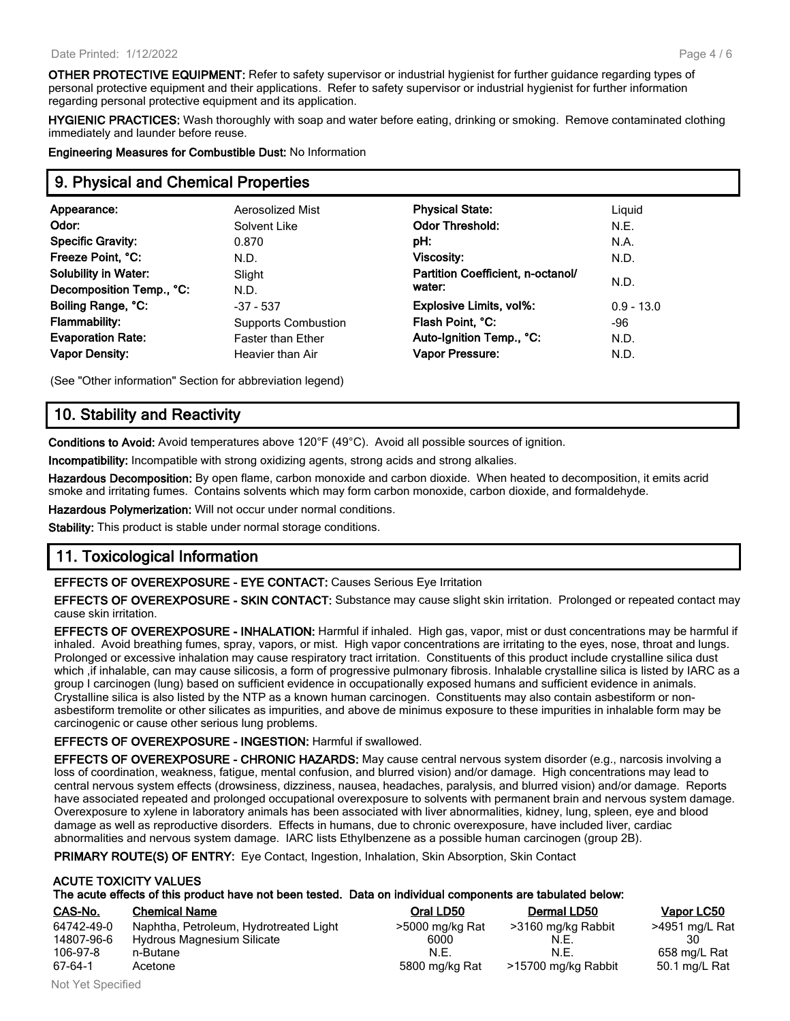**OTHER PROTECTIVE EQUIPMENT:** Refer to safety supervisor or industrial hygienist for further guidance regarding types of personal protective equipment and their applications. Refer to safety supervisor or industrial hygienist for further information regarding personal protective equipment and its application.

**HYGIENIC PRACTICES:** Wash thoroughly with soap and water before eating, drinking or smoking. Remove contaminated clothing immediately and launder before reuse.

**Engineering Measures for Combustible Dust:** No Information

# **9. Physical and Chemical Properties**

| Appearance:                 | Aerosolized Mist           | <b>Physical State:</b>            | Liguid       |
|-----------------------------|----------------------------|-----------------------------------|--------------|
| Odor:                       | Solvent Like               | <b>Odor Threshold:</b>            | N.E.         |
| <b>Specific Gravity:</b>    | 0.870                      | pH:                               | N.A.         |
| Freeze Point, °C:           | N.D.                       | <b>Viscosity:</b>                 | N.D.         |
| <b>Solubility in Water:</b> | Slight                     | Partition Coefficient, n-octanol/ |              |
| Decomposition Temp., °C:    | N.D.                       | water:                            | N.D.         |
| Boiling Range, °C:          | $-37 - 537$                | <b>Explosive Limits, vol%:</b>    | $0.9 - 13.0$ |
| <b>Flammability:</b>        | <b>Supports Combustion</b> | Flash Point, °C:                  | -96          |
| <b>Evaporation Rate:</b>    | <b>Faster than Ether</b>   | Auto-Ignition Temp., °C:          | N.D.         |
| <b>Vapor Density:</b>       | Heavier than Air           | Vapor Pressure:                   | N.D.         |
|                             |                            |                                   |              |

(See "Other information" Section for abbreviation legend)

# **10. Stability and Reactivity**

**Conditions to Avoid:** Avoid temperatures above 120°F (49°C). Avoid all possible sources of ignition.

**Incompatibility:** Incompatible with strong oxidizing agents, strong acids and strong alkalies.

**Hazardous Decomposition:** By open flame, carbon monoxide and carbon dioxide. When heated to decomposition, it emits acrid smoke and irritating fumes. Contains solvents which may form carbon monoxide, carbon dioxide, and formaldehyde.

**Hazardous Polymerization:** Will not occur under normal conditions.

**Stability:** This product is stable under normal storage conditions.

# **11. Toxicological Information**

**EFFECTS OF OVEREXPOSURE - EYE CONTACT:** Causes Serious Eye Irritation

**EFFECTS OF OVEREXPOSURE - SKIN CONTACT:** Substance may cause slight skin irritation. Prolonged or repeated contact may cause skin irritation.

**EFFECTS OF OVEREXPOSURE - INHALATION:** Harmful if inhaled. High gas, vapor, mist or dust concentrations may be harmful if inhaled. Avoid breathing fumes, spray, vapors, or mist. High vapor concentrations are irritating to the eyes, nose, throat and lungs. Prolonged or excessive inhalation may cause respiratory tract irritation. Constituents of this product include crystalline silica dust which ,if inhalable, can may cause silicosis, a form of progressive pulmonary fibrosis. Inhalable crystalline silica is listed by IARC as a group I carcinogen (lung) based on sufficient evidence in occupationally exposed humans and sufficient evidence in animals. Crystalline silica is also listed by the NTP as a known human carcinogen. Constituents may also contain asbestiform or nonasbestiform tremolite or other silicates as impurities, and above de minimus exposure to these impurities in inhalable form may be carcinogenic or cause other serious lung problems.

#### **EFFECTS OF OVEREXPOSURE - INGESTION:** Harmful if swallowed.

**EFFECTS OF OVEREXPOSURE - CHRONIC HAZARDS:** May cause central nervous system disorder (e.g., narcosis involving a loss of coordination, weakness, fatigue, mental confusion, and blurred vision) and/or damage. High concentrations may lead to central nervous system effects (drowsiness, dizziness, nausea, headaches, paralysis, and blurred vision) and/or damage. Reports have associated repeated and prolonged occupational overexposure to solvents with permanent brain and nervous system damage. Overexposure to xylene in laboratory animals has been associated with liver abnormalities, kidney, lung, spleen, eye and blood damage as well as reproductive disorders. Effects in humans, due to chronic overexposure, have included liver, cardiac abnormalities and nervous system damage. IARC lists Ethylbenzene as a possible human carcinogen (group 2B).

**PRIMARY ROUTE(S) OF ENTRY:** Eye Contact, Ingestion, Inhalation, Skin Absorption, Skin Contact

|            | <b>ACUTE TOXICITY VALUES</b>                                                                               |                                               |             |              |
|------------|------------------------------------------------------------------------------------------------------------|-----------------------------------------------|-------------|--------------|
|            | The acute effects of this product have not been tested. Data on individual components are tabulated below: |                                               |             |              |
| CAS-No.    | <b>Chemical Name</b>                                                                                       | Oral LD50                                     | Dermal LD50 | Vapor LC50   |
| 0.1710 100 | Alexandra Demolectic Holdschung and Historic                                                               | $\sim$ FOOD $\sim$ $\sim$ 4 $\sim$ D $\sim$ 4 |             | $1074 - 107$ |

| 64742-49-0 | Naphtha, Petroleum, Hydrotreated Light | >5000 mg/kg Rat | >3160 mg/kg Rabbit  | >4951 mg/L Rat |
|------------|----------------------------------------|-----------------|---------------------|----------------|
| 14807-96-6 | Hydrous Magnesium Silicate             | 6000            | N.E.                |                |
| 106-97-8   | n-Butane                               | N.E.            | N.E.                | 658 ma/L Rat   |
| 67-64-1    | Acetone                                | 5800 mg/kg Rat  | >15700 mg/kg Rabbit | 50.1 mg/L Rat  |

| Uidi LDOU       | Definal LD <sub>30</sub> |    |
|-----------------|--------------------------|----|
| >5000 mg/kg Rat | >3160 mg/kg Rabbit       | >4 |
| 6000            | N.E.                     |    |
| N.F.            | N.F.                     | Բ  |
| 5800 mg/kg Rat  | >15700 mg/kg Rabbit      | 5  |
|                 |                          |    |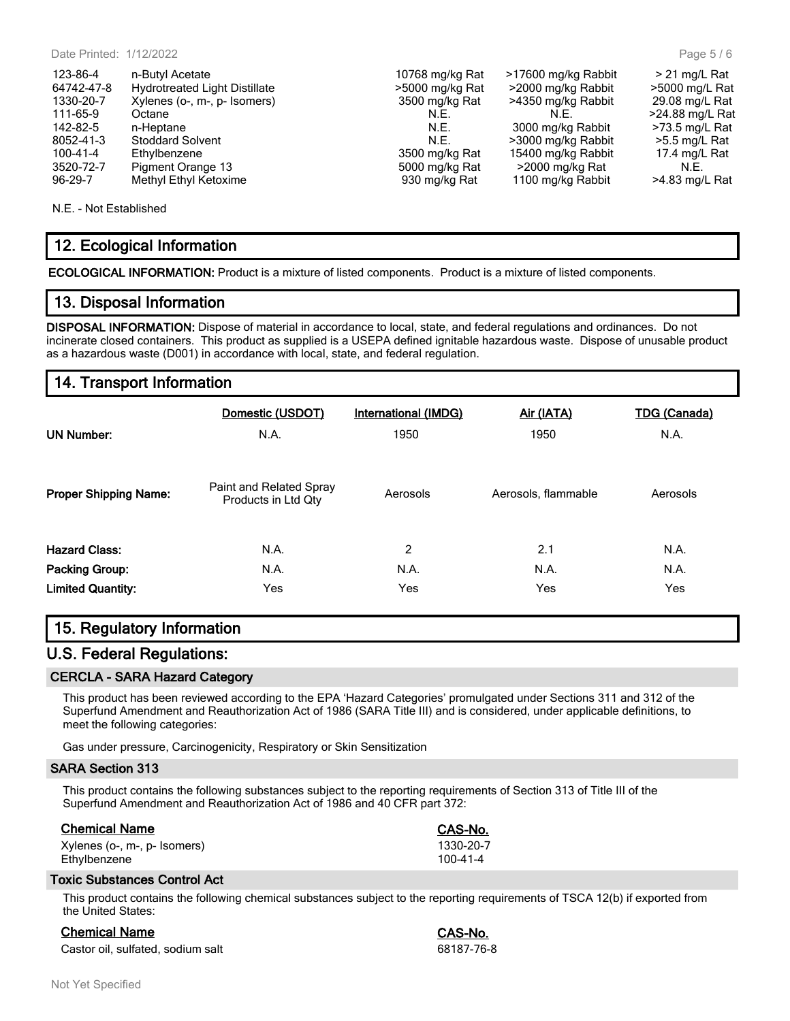| 123-86-4       | n-Butyl Acetate                      | 10768 mg/kg Rat | >17600 mg/kg Rabbit | $> 21$ ma/L Rat  |
|----------------|--------------------------------------|-----------------|---------------------|------------------|
| 64742-47-8     | <b>Hydrotreated Light Distillate</b> | >5000 mg/kg Rat | >2000 mg/kg Rabbit  | >5000 mg/L Rat   |
| 1330-20-7      | Xylenes (o-, m-, p- Isomers)         | 3500 mg/kg Rat  | >4350 mg/kg Rabbit  | 29.08 mg/L Rat   |
| 111-65-9       | Octane                               | N.E.            | N.E.                | >24.88 mg/L Rat  |
| 142-82-5       | n-Heptane                            | N.E.            | 3000 mg/kg Rabbit   | $>73.5$ mg/L Rat |
| 8052-41-3      | <b>Stoddard Solvent</b>              | N.E.            | >3000 mg/kg Rabbit  | >5.5 mg/L Rat    |
| $100 - 41 - 4$ | Ethylbenzene                         | 3500 mg/kg Rat  | 15400 mg/kg Rabbit  | 17.4 mg/L Rat    |
| 3520-72-7      | Pigment Orange 13                    | 5000 mg/kg Rat  | >2000 mg/kg Rat     | N.F.             |
| $96 - 29 - 7$  | Methyl Ethyl Ketoxime                | 930 mg/kg Rat   | 1100 mg/kg Rabbit   | >4.83 mg/L Rat   |
|                |                                      |                 |                     |                  |

N.E. - Not Established

# **12. Ecological Information**

**ECOLOGICAL INFORMATION:** Product is a mixture of listed components. Product is a mixture of listed components.

# **13. Disposal Information**

**DISPOSAL INFORMATION:** Dispose of material in accordance to local, state, and federal regulations and ordinances. Do not incinerate closed containers. This product as supplied is a USEPA defined ignitable hazardous waste. Dispose of unusable product as a hazardous waste (D001) in accordance with local, state, and federal regulation.

# **14. Transport Information**

| <b>UN Number:</b>            | Domestic (USDOT)<br>N.A.                       | International (IMDG)<br>1950 | Air (IATA)<br>1950  | <b>TDG (Canada)</b><br>N.A. |
|------------------------------|------------------------------------------------|------------------------------|---------------------|-----------------------------|
| <b>Proper Shipping Name:</b> | Paint and Related Spray<br>Products in Ltd Qty | Aerosols                     | Aerosols, flammable | Aerosols                    |
| <b>Hazard Class:</b>         | N.A.                                           | 2                            | 2.1                 | N.A.                        |
| Packing Group:               | N.A.                                           | N.A.                         | N.A.                | N.A.                        |
| <b>Limited Quantity:</b>     | Yes                                            | Yes                          | Yes                 | Yes                         |

# **15. Regulatory Information**

### **U.S. Federal Regulations:**

#### **CERCLA - SARA Hazard Category**

This product has been reviewed according to the EPA 'Hazard Categories' promulgated under Sections 311 and 312 of the Superfund Amendment and Reauthorization Act of 1986 (SARA Title III) and is considered, under applicable definitions, to meet the following categories:

Gas under pressure, Carcinogenicity, Respiratory or Skin Sensitization

#### **SARA Section 313**

This product contains the following substances subject to the reporting requirements of Section 313 of Title III of the Superfund Amendment and Reauthorization Act of 1986 and 40 CFR part 372:

| <b>Chemical Name</b>         | CAS-No.        |
|------------------------------|----------------|
| Xylenes (o-, m-, p- Isomers) | 1330-20-7      |
| Ethvlbenzene                 | $100 - 41 - 4$ |

#### **Toxic Substances Control Act**

This product contains the following chemical substances subject to the reporting requirements of TSCA 12(b) if exported from the United States:

# **Chemical Name CAS-No.**

Castor oil, sulfated, sodium salt 68187-76-8